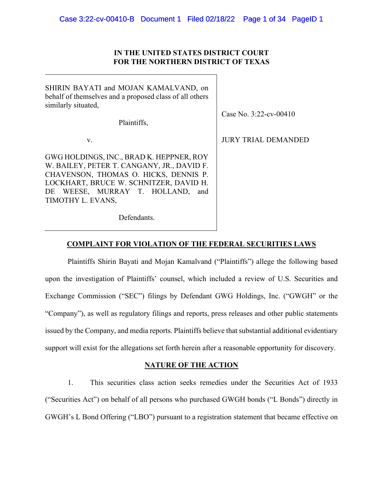## **IN THE UNITED STATES DISTRICT COURT FOR THE NORTHERN DISTRICT OF TEXAS**

| SHIRIN BAYATI and MOJAN KAMALVAND, on<br>behalf of themselves and a proposed class of all others<br>similarly situated,<br>Plaintiffs,                                                                                                | Case No. $3:22$ -cv-00410  |
|---------------------------------------------------------------------------------------------------------------------------------------------------------------------------------------------------------------------------------------|----------------------------|
| V.                                                                                                                                                                                                                                    | <b>JURY TRIAL DEMANDED</b> |
| GWG HOLDINGS, INC., BRAD K. HEPPNER, ROY<br>W. BAILEY, PETER T. CANGANY, JR., DAVID F.<br>CHAVENSON, THOMAS O. HICKS, DENNIS P.<br>LOCKHART, BRUCE W. SCHNITZER, DAVID H.<br>DE WEESE, MURRAY T. HOLLAND,<br>and<br>TIMOTHY L. EVANS, |                            |
| Defendants.                                                                                                                                                                                                                           |                            |

# **COMPLAINT FOR VIOLATION OF THE FEDERAL SECURITIES LAWS**

Plaintiffs Shirin Bayati and Mojan Kamalvand ("Plaintiffs") allege the following based upon the investigation of Plaintiffs' counsel, which included a review of U.S. Securities and Exchange Commission ("SEC") filings by Defendant GWG Holdings, Inc. ("GWGH" or the "Company"), as well as regulatory filings and reports, press releases and other public statements issued by the Company, and media reports. Plaintiffs believe that substantial additional evidentiary support will exist for the allegations set forth herein after a reasonable opportunity for discovery.

## **NATURE OF THE ACTION**

1. This securities class action seeks remedies under the Securities Act of 1933 ("Securities Act") on behalf of all persons who purchased GWGH bonds ("L Bonds") directly in GWGH's L Bond Offering ("LBO") pursuant to a registration statement that became effective on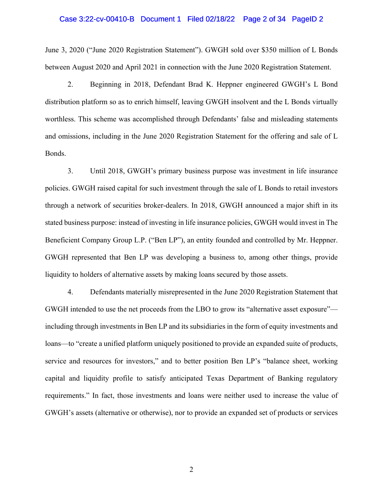### Case 3:22-cv-00410-B Document 1 Filed 02/18/22 Page 2 of 34 PageID 2

June 3, 2020 ("June 2020 Registration Statement"). GWGH sold over \$350 million of L Bonds between August 2020 and April 2021 in connection with the June 2020 Registration Statement.

2. Beginning in 2018, Defendant Brad K. Heppner engineered GWGH's L Bond distribution platform so as to enrich himself, leaving GWGH insolvent and the L Bonds virtually worthless. This scheme was accomplished through Defendants' false and misleading statements and omissions, including in the June 2020 Registration Statement for the offering and sale of L Bonds.

3. Until 2018, GWGH's primary business purpose was investment in life insurance policies. GWGH raised capital for such investment through the sale of L Bonds to retail investors through a network of securities broker-dealers. In 2018, GWGH announced a major shift in its stated business purpose: instead of investing in life insurance policies, GWGH would invest in The Beneficient Company Group L.P. ("Ben LP"), an entity founded and controlled by Mr. Heppner. GWGH represented that Ben LP was developing a business to, among other things, provide liquidity to holders of alternative assets by making loans secured by those assets.

4. Defendants materially misrepresented in the June 2020 Registration Statement that GWGH intended to use the net proceeds from the LBO to grow its "alternative asset exposure" including through investments in Ben LP and its subsidiaries in the form of equity investments and loans—to "create a unified platform uniquely positioned to provide an expanded suite of products, service and resources for investors," and to better position Ben LP's "balance sheet, working capital and liquidity profile to satisfy anticipated Texas Department of Banking regulatory requirements." In fact, those investments and loans were neither used to increase the value of GWGH's assets (alternative or otherwise), nor to provide an expanded set of products or services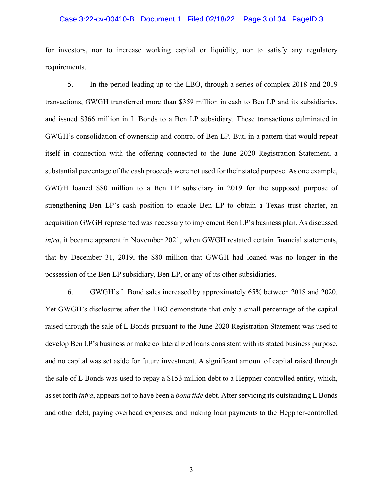## Case 3:22-cv-00410-B Document 1 Filed 02/18/22 Page 3 of 34 PageID 3

for investors, nor to increase working capital or liquidity, nor to satisfy any regulatory requirements.

5. In the period leading up to the LBO, through a series of complex 2018 and 2019 transactions, GWGH transferred more than \$359 million in cash to Ben LP and its subsidiaries, and issued \$366 million in L Bonds to a Ben LP subsidiary. These transactions culminated in GWGH's consolidation of ownership and control of Ben LP. But, in a pattern that would repeat itself in connection with the offering connected to the June 2020 Registration Statement, a substantial percentage of the cash proceeds were not used for their stated purpose. As one example, GWGH loaned \$80 million to a Ben LP subsidiary in 2019 for the supposed purpose of strengthening Ben LP's cash position to enable Ben LP to obtain a Texas trust charter, an acquisition GWGH represented was necessary to implement Ben LP's business plan. As discussed *infra*, it became apparent in November 2021, when GWGH restated certain financial statements, that by December 31, 2019, the \$80 million that GWGH had loaned was no longer in the possession of the Ben LP subsidiary, Ben LP, or any of its other subsidiaries.

6. GWGH's L Bond sales increased by approximately 65% between 2018 and 2020. Yet GWGH's disclosures after the LBO demonstrate that only a small percentage of the capital raised through the sale of L Bonds pursuant to the June 2020 Registration Statement was used to develop Ben LP's business or make collateralized loans consistent with its stated business purpose, and no capital was set aside for future investment. A significant amount of capital raised through the sale of L Bonds was used to repay a \$153 million debt to a Heppner-controlled entity, which, as set forth *infra*, appears not to have been a *bona fide* debt. After servicing its outstanding L Bonds and other debt, paying overhead expenses, and making loan payments to the Heppner-controlled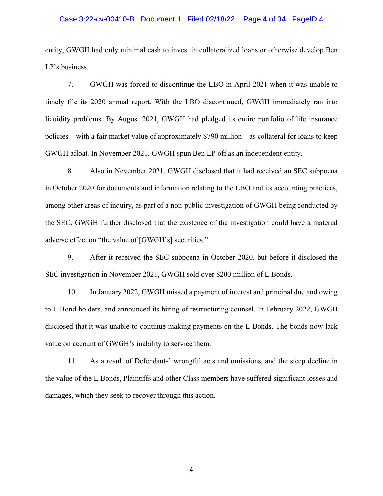## Case 3:22-cv-00410-B Document 1 Filed 02/18/22 Page 4 of 34 PageID 4

entity, GWGH had only minimal cash to invest in collateralized loans or otherwise develop Ben LP's business.

7. GWGH was forced to discontinue the LBO in April 2021 when it was unable to timely file its 2020 annual report. With the LBO discontinued, GWGH immediately ran into liquidity problems. By August 2021, GWGH had pledged its entire portfolio of life insurance policies—with a fair market value of approximately \$790 million—as collateral for loans to keep GWGH afloat. In November 2021, GWGH spun Ben LP off as an independent entity.

8. Also in November 2021, GWGH disclosed that it had received an SEC subpoena in October 2020 for documents and information relating to the LBO and its accounting practices, among other areas of inquiry, as part of a non-public investigation of GWGH being conducted by the SEC. GWGH further disclosed that the existence of the investigation could have a material adverse effect on "the value of [GWGH's] securities."

9. After it received the SEC subpoena in October 2020, but before it disclosed the SEC investigation in November 2021, GWGH sold over \$200 million of L Bonds.

10. In January 2022, GWGH missed a payment of interest and principal due and owing to L Bond holders, and announced its hiring of restructuring counsel. In February 2022, GWGH disclosed that it was unable to continue making payments on the L Bonds. The bonds now lack value on account of GWGH's inability to service them.

11. As a result of Defendants' wrongful acts and omissions, and the steep decline in the value of the L Bonds, Plaintiffs and other Class members have suffered significant losses and damages, which they seek to recover through this action.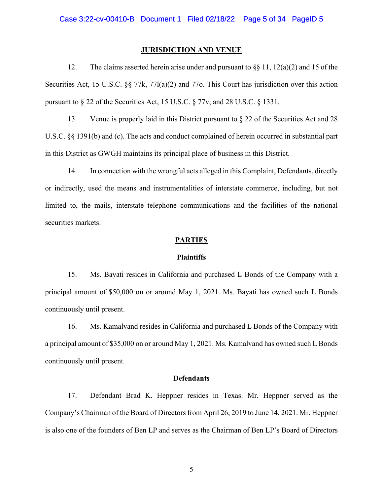#### **JURISDICTION AND VENUE**

12. The claims asserted herein arise under and pursuant to  $\S\S 11$ ,  $12(a)(2)$  and 15 of the Securities Act, 15 U.S.C. §§ 77k, 77l(a)(2) and 77o. This Court has jurisdiction over this action pursuant to § 22 of the Securities Act, 15 U.S.C. § 77v, and 28 U.S.C. § 1331.

13. Venue is properly laid in this District pursuant to § 22 of the Securities Act and 28 U.S.C. §§ 1391(b) and (c). The acts and conduct complained of herein occurred in substantial part in this District as GWGH maintains its principal place of business in this District.

14. In connection with the wrongful acts alleged in this Complaint, Defendants, directly or indirectly, used the means and instrumentalities of interstate commerce, including, but not limited to, the mails, interstate telephone communications and the facilities of the national securities markets.

## **PARTIES**

### **Plaintiffs**

15. Ms. Bayati resides in California and purchased L Bonds of the Company with a principal amount of \$50,000 on or around May 1, 2021. Ms. Bayati has owned such L Bonds continuously until present.

16. Ms. Kamalvand resides in California and purchased L Bonds of the Company with a principal amount of \$35,000 on or around May 1, 2021. Ms. Kamalvand has owned such L Bonds continuously until present.

## **Defendants**

17. Defendant Brad K. Heppner resides in Texas. Mr. Heppner served as the Company's Chairman of the Board of Directors from April 26, 2019 to June 14, 2021. Mr. Heppner is also one of the founders of Ben LP and serves as the Chairman of Ben LP's Board of Directors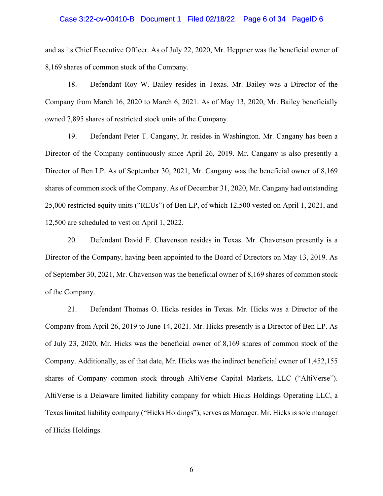### Case 3:22-cv-00410-B Document 1 Filed 02/18/22 Page 6 of 34 PageID 6

and as its Chief Executive Officer. As of July 22, 2020, Mr. Heppner was the beneficial owner of 8,169 shares of common stock of the Company.

18. Defendant Roy W. Bailey resides in Texas. Mr. Bailey was a Director of the Company from March 16, 2020 to March 6, 2021. As of May 13, 2020, Mr. Bailey beneficially owned 7,895 shares of restricted stock units of the Company.

19. Defendant Peter T. Cangany, Jr. resides in Washington. Mr. Cangany has been a Director of the Company continuously since April 26, 2019. Mr. Cangany is also presently a Director of Ben LP. As of September 30, 2021, Mr. Cangany was the beneficial owner of 8,169 shares of common stock of the Company. As of December 31, 2020, Mr. Cangany had outstanding 25,000 restricted equity units ("REUs") of Ben LP, of which 12,500 vested on April 1, 2021, and 12,500 are scheduled to vest on April 1, 2022.

20. Defendant David F. Chavenson resides in Texas. Mr. Chavenson presently is a Director of the Company, having been appointed to the Board of Directors on May 13, 2019. As of September 30, 2021, Mr. Chavenson was the beneficial owner of 8,169 shares of common stock of the Company.

21. Defendant Thomas O. Hicks resides in Texas. Mr. Hicks was a Director of the Company from April 26, 2019 to June 14, 2021. Mr. Hicks presently is a Director of Ben LP. As of July 23, 2020, Mr. Hicks was the beneficial owner of 8,169 shares of common stock of the Company. Additionally, as of that date, Mr. Hicks was the indirect beneficial owner of 1,452,155 shares of Company common stock through AltiVerse Capital Markets, LLC ("AltiVerse"). AltiVerse is a Delaware limited liability company for which Hicks Holdings Operating LLC, a Texas limited liability company ("Hicks Holdings"), serves as Manager. Mr. Hicks is sole manager of Hicks Holdings.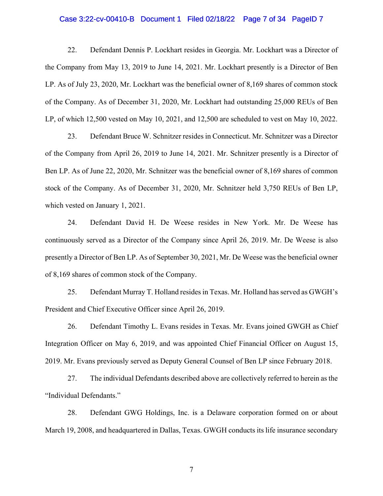## Case 3:22-cv-00410-B Document 1 Filed 02/18/22 Page 7 of 34 PageID 7

22. Defendant Dennis P. Lockhart resides in Georgia. Mr. Lockhart was a Director of the Company from May 13, 2019 to June 14, 2021. Mr. Lockhart presently is a Director of Ben LP. As of July 23, 2020, Mr. Lockhart was the beneficial owner of 8,169 shares of common stock of the Company. As of December 31, 2020, Mr. Lockhart had outstanding 25,000 REUs of Ben LP, of which 12,500 vested on May 10, 2021, and 12,500 are scheduled to vest on May 10, 2022.

23. Defendant Bruce W. Schnitzer resides in Connecticut. Mr. Schnitzer was a Director of the Company from April 26, 2019 to June 14, 2021. Mr. Schnitzer presently is a Director of Ben LP. As of June 22, 2020, Mr. Schnitzer was the beneficial owner of 8,169 shares of common stock of the Company. As of December 31, 2020, Mr. Schnitzer held 3,750 REUs of Ben LP, which vested on January 1, 2021.

24. Defendant David H. De Weese resides in New York. Mr. De Weese has continuously served as a Director of the Company since April 26, 2019. Mr. De Weese is also presently a Director of Ben LP. As of September 30, 2021, Mr. De Weese was the beneficial owner of 8,169 shares of common stock of the Company.

25. Defendant Murray T. Holland resides in Texas. Mr. Holland has served as GWGH's President and Chief Executive Officer since April 26, 2019.

26. Defendant Timothy L. Evans resides in Texas. Mr. Evans joined GWGH as Chief Integration Officer on May 6, 2019, and was appointed Chief Financial Officer on August 15, 2019. Mr. Evans previously served as Deputy General Counsel of Ben LP since February 2018.

27. The individual Defendants described above are collectively referred to herein as the "Individual Defendants."

28. Defendant GWG Holdings, Inc. is a Delaware corporation formed on or about March 19, 2008, and headquartered in Dallas, Texas. GWGH conducts its life insurance secondary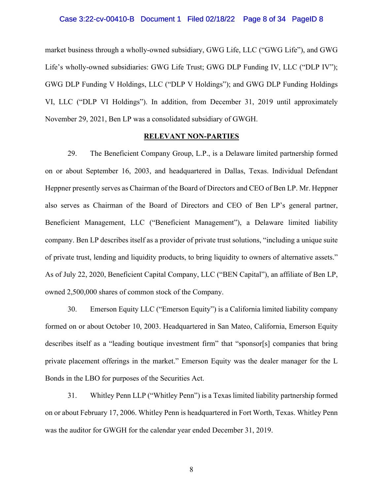### Case 3:22-cv-00410-B Document 1 Filed 02/18/22 Page 8 of 34 PageID 8

market business through a wholly-owned subsidiary, GWG Life, LLC ("GWG Life"), and GWG Life's wholly-owned subsidiaries: GWG Life Trust; GWG DLP Funding IV, LLC ("DLP IV"); GWG DLP Funding V Holdings, LLC ("DLP V Holdings"); and GWG DLP Funding Holdings VI, LLC ("DLP VI Holdings"). In addition, from December 31, 2019 until approximately November 29, 2021, Ben LP was a consolidated subsidiary of GWGH.

## **RELEVANT NON-PARTIES**

29. The Beneficient Company Group, L.P., is a Delaware limited partnership formed on or about September 16, 2003, and headquartered in Dallas, Texas. Individual Defendant Heppner presently serves as Chairman of the Board of Directors and CEO of Ben LP. Mr. Heppner also serves as Chairman of the Board of Directors and CEO of Ben LP's general partner, Beneficient Management, LLC ("Beneficient Management"), a Delaware limited liability company. Ben LP describes itself as a provider of private trust solutions, "including a unique suite of private trust, lending and liquidity products, to bring liquidity to owners of alternative assets." As of July 22, 2020, Beneficient Capital Company, LLC ("BEN Capital"), an affiliate of Ben LP, owned 2,500,000 shares of common stock of the Company.

30. Emerson Equity LLC ("Emerson Equity") is a California limited liability company formed on or about October 10, 2003. Headquartered in San Mateo, California, Emerson Equity describes itself as a "leading boutique investment firm" that "sponsor[s] companies that bring private placement offerings in the market." Emerson Equity was the dealer manager for the L Bonds in the LBO for purposes of the Securities Act.

31. Whitley Penn LLP ("Whitley Penn") is a Texas limited liability partnership formed on or about February 17, 2006. Whitley Penn is headquartered in Fort Worth, Texas. Whitley Penn was the auditor for GWGH for the calendar year ended December 31, 2019.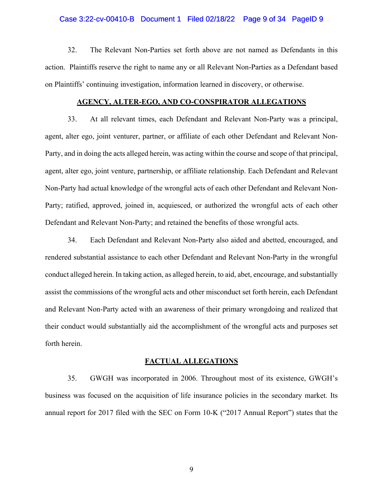### Case 3:22-cv-00410-B Document 1 Filed 02/18/22 Page 9 of 34 PageID 9

32. The Relevant Non-Parties set forth above are not named as Defendants in this action. Plaintiffs reserve the right to name any or all Relevant Non-Parties as a Defendant based on Plaintiffs' continuing investigation, information learned in discovery, or otherwise.

## **AGENCY, ALTER-EGO, AND CO-CONSPIRATOR ALLEGATIONS**

33. At all relevant times, each Defendant and Relevant Non-Party was a principal, agent, alter ego, joint venturer, partner, or affiliate of each other Defendant and Relevant Non-Party, and in doing the acts alleged herein, was acting within the course and scope of that principal, agent, alter ego, joint venture, partnership, or affiliate relationship. Each Defendant and Relevant Non-Party had actual knowledge of the wrongful acts of each other Defendant and Relevant Non-Party; ratified, approved, joined in, acquiesced, or authorized the wrongful acts of each other Defendant and Relevant Non-Party; and retained the benefits of those wrongful acts.

34. Each Defendant and Relevant Non-Party also aided and abetted, encouraged, and rendered substantial assistance to each other Defendant and Relevant Non-Party in the wrongful conduct alleged herein. In taking action, as alleged herein, to aid, abet, encourage, and substantially assist the commissions of the wrongful acts and other misconduct set forth herein, each Defendant and Relevant Non-Party acted with an awareness of their primary wrongdoing and realized that their conduct would substantially aid the accomplishment of the wrongful acts and purposes set forth herein.

## **FACTUAL ALLEGATIONS**

35. GWGH was incorporated in 2006. Throughout most of its existence, GWGH's business was focused on the acquisition of life insurance policies in the secondary market. Its annual report for 2017 filed with the SEC on Form 10-K ("2017 Annual Report") states that the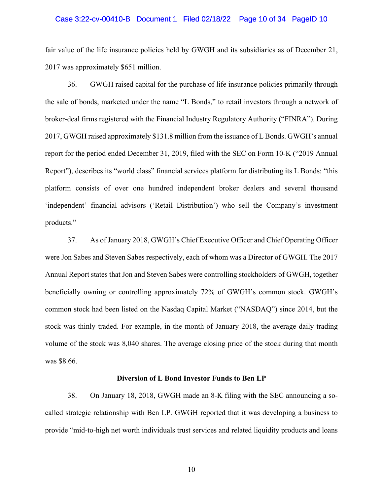## Case 3:22-cv-00410-B Document 1 Filed 02/18/22 Page 10 of 34 PageID 10

fair value of the life insurance policies held by GWGH and its subsidiaries as of December 21, 2017 was approximately \$651 million.

36. GWGH raised capital for the purchase of life insurance policies primarily through the sale of bonds, marketed under the name "L Bonds," to retail investors through a network of broker-deal firms registered with the Financial Industry Regulatory Authority ("FINRA"). During 2017, GWGH raised approximately \$131.8 million from the issuance of L Bonds. GWGH's annual report for the period ended December 31, 2019, filed with the SEC on Form 10-K ("2019 Annual Report"), describes its "world class" financial services platform for distributing its L Bonds: "this platform consists of over one hundred independent broker dealers and several thousand 'independent' financial advisors ('Retail Distribution') who sell the Company's investment products."

37. As of January 2018, GWGH's Chief Executive Officer and Chief Operating Officer were Jon Sabes and Steven Sabes respectively, each of whom was a Director of GWGH. The 2017 Annual Report states that Jon and Steven Sabes were controlling stockholders of GWGH, together beneficially owning or controlling approximately 72% of GWGH's common stock. GWGH's common stock had been listed on the Nasdaq Capital Market ("NASDAQ") since 2014, but the stock was thinly traded. For example, in the month of January 2018, the average daily trading volume of the stock was 8,040 shares. The average closing price of the stock during that month was \$8.66.

## **Diversion of L Bond Investor Funds to Ben LP**

38. On January 18, 2018, GWGH made an 8-K filing with the SEC announcing a socalled strategic relationship with Ben LP. GWGH reported that it was developing a business to provide "mid-to-high net worth individuals trust services and related liquidity products and loans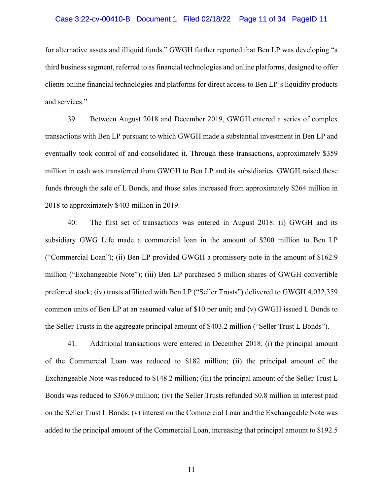## Case 3:22-cv-00410-B Document 1 Filed 02/18/22 Page 11 of 34 PageID 11

for alternative assets and illiquid funds." GWGH further reported that Ben LP was developing "a third business segment, referred to as financial technologies and online platforms, designed to offer clients online financial technologies and platforms for direct access to Ben LP's liquidity products and services."

39. Between August 2018 and December 2019, GWGH entered a series of complex transactions with Ben LP pursuant to which GWGH made a substantial investment in Ben LP and eventually took control of and consolidated it. Through these transactions, approximately \$359 million in cash was transferred from GWGH to Ben LP and its subsidiaries. GWGH raised these funds through the sale of L Bonds, and those sales increased from approximately \$264 million in 2018 to approximately \$403 million in 2019.

40. The first set of transactions was entered in August 2018: (i) GWGH and its subsidiary GWG Life made a commercial loan in the amount of \$200 million to Ben LP ("Commercial Loan"); (ii) Ben LP provided GWGH a promissory note in the amount of \$162.9 million ("Exchangeable Note"); (iii) Ben LP purchased 5 million shares of GWGH convertible preferred stock; (iv) trusts affiliated with Ben LP ("Seller Trusts") delivered to GWGH 4,032,359 common units of Ben LP at an assumed value of \$10 per unit; and (v) GWGH issued L Bonds to the Seller Trusts in the aggregate principal amount of \$403.2 million ("Seller Trust L Bonds").

41. Additional transactions were entered in December 2018: (i) the principal amount of the Commercial Loan was reduced to \$182 million; (ii) the principal amount of the Exchangeable Note was reduced to \$148.2 million; (iii) the principal amount of the Seller Trust L Bonds was reduced to \$366.9 million; (iv) the Seller Trusts refunded \$0.8 million in interest paid on the Seller Trust L Bonds; (v) interest on the Commercial Loan and the Exchangeable Note was added to the principal amount of the Commercial Loan, increasing that principal amount to \$192.5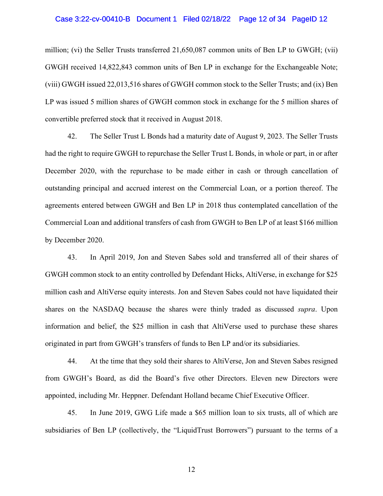## Case 3:22-cv-00410-B Document 1 Filed 02/18/22 Page 12 of 34 PageID 12

million; (vi) the Seller Trusts transferred 21,650,087 common units of Ben LP to GWGH; (vii) GWGH received 14,822,843 common units of Ben LP in exchange for the Exchangeable Note; (viii) GWGH issued 22,013,516 shares of GWGH common stock to the Seller Trusts; and (ix) Ben LP was issued 5 million shares of GWGH common stock in exchange for the 5 million shares of convertible preferred stock that it received in August 2018.

42. The Seller Trust L Bonds had a maturity date of August 9, 2023. The Seller Trusts had the right to require GWGH to repurchase the Seller Trust L Bonds, in whole or part, in or after December 2020, with the repurchase to be made either in cash or through cancellation of outstanding principal and accrued interest on the Commercial Loan, or a portion thereof. The agreements entered between GWGH and Ben LP in 2018 thus contemplated cancellation of the Commercial Loan and additional transfers of cash from GWGH to Ben LP of at least \$166 million by December 2020.

43. In April 2019, Jon and Steven Sabes sold and transferred all of their shares of GWGH common stock to an entity controlled by Defendant Hicks, AltiVerse, in exchange for \$25 million cash and AltiVerse equity interests. Jon and Steven Sabes could not have liquidated their shares on the NASDAQ because the shares were thinly traded as discussed *supra*. Upon information and belief, the \$25 million in cash that AltiVerse used to purchase these shares originated in part from GWGH's transfers of funds to Ben LP and/or its subsidiaries.

44. At the time that they sold their shares to AltiVerse, Jon and Steven Sabes resigned from GWGH's Board, as did the Board's five other Directors. Eleven new Directors were appointed, including Mr. Heppner. Defendant Holland became Chief Executive Officer.

45. In June 2019, GWG Life made a \$65 million loan to six trusts, all of which are subsidiaries of Ben LP (collectively, the "LiquidTrust Borrowers") pursuant to the terms of a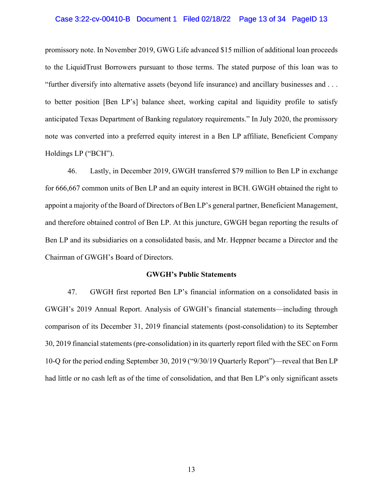## Case 3:22-cv-00410-B Document 1 Filed 02/18/22 Page 13 of 34 PageID 13

promissory note. In November 2019, GWG Life advanced \$15 million of additional loan proceeds to the LiquidTrust Borrowers pursuant to those terms. The stated purpose of this loan was to "further diversify into alternative assets (beyond life insurance) and ancillary businesses and . . . to better position [Ben LP's] balance sheet, working capital and liquidity profile to satisfy anticipated Texas Department of Banking regulatory requirements." In July 2020, the promissory note was converted into a preferred equity interest in a Ben LP affiliate, Beneficient Company Holdings LP ("BCH").

46. Lastly, in December 2019, GWGH transferred \$79 million to Ben LP in exchange for 666,667 common units of Ben LP and an equity interest in BCH. GWGH obtained the right to appoint a majority of the Board of Directors of Ben LP's general partner, Beneficient Management, and therefore obtained control of Ben LP. At this juncture, GWGH began reporting the results of Ben LP and its subsidiaries on a consolidated basis, and Mr. Heppner became a Director and the Chairman of GWGH's Board of Directors.

### **GWGH's Public Statements**

47. GWGH first reported Ben LP's financial information on a consolidated basis in GWGH's 2019 Annual Report. Analysis of GWGH's financial statements—including through comparison of its December 31, 2019 financial statements (post-consolidation) to its September 30, 2019 financial statements (pre-consolidation) in its quarterly report filed with the SEC on Form 10-Q for the period ending September 30, 2019 ("9/30/19 Quarterly Report")—reveal that Ben LP had little or no cash left as of the time of consolidation, and that Ben LP's only significant assets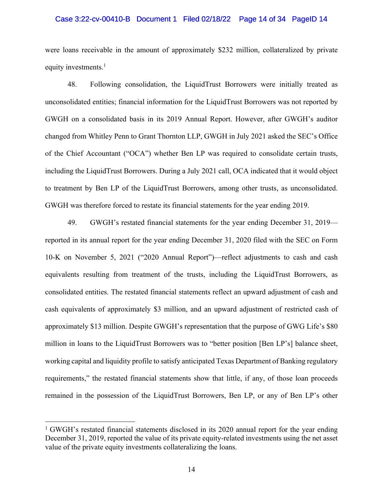## Case 3:22-cv-00410-B Document 1 Filed 02/18/22 Page 14 of 34 PageID 14

were loans receivable in the amount of approximately \$232 million, collateralized by private equity investments.<sup>1</sup>

48. Following consolidation, the LiquidTrust Borrowers were initially treated as unconsolidated entities; financial information for the LiquidTrust Borrowers was not reported by GWGH on a consolidated basis in its 2019 Annual Report. However, after GWGH's auditor changed from Whitley Penn to Grant Thornton LLP, GWGH in July 2021 asked the SEC's Office of the Chief Accountant ("OCA") whether Ben LP was required to consolidate certain trusts, including the LiquidTrust Borrowers. During a July 2021 call, OCA indicated that it would object to treatment by Ben LP of the LiquidTrust Borrowers, among other trusts, as unconsolidated. GWGH was therefore forced to restate its financial statements for the year ending 2019.

49. GWGH's restated financial statements for the year ending December 31, 2019 reported in its annual report for the year ending December 31, 2020 filed with the SEC on Form 10-K on November 5, 2021 ("2020 Annual Report")—reflect adjustments to cash and cash equivalents resulting from treatment of the trusts, including the LiquidTrust Borrowers, as consolidated entities. The restated financial statements reflect an upward adjustment of cash and cash equivalents of approximately \$3 million, and an upward adjustment of restricted cash of approximately \$13 million. Despite GWGH's representation that the purpose of GWG Life's \$80 million in loans to the LiquidTrust Borrowers was to "better position [Ben LP's] balance sheet, working capital and liquidity profile to satisfy anticipated Texas Department of Banking regulatory requirements," the restated financial statements show that little, if any, of those loan proceeds remained in the possession of the LiquidTrust Borrowers, Ben LP, or any of Ben LP's other

<sup>&</sup>lt;sup>1</sup> GWGH's restated financial statements disclosed in its 2020 annual report for the year ending December 31, 2019, reported the value of its private equity-related investments using the net asset value of the private equity investments collateralizing the loans.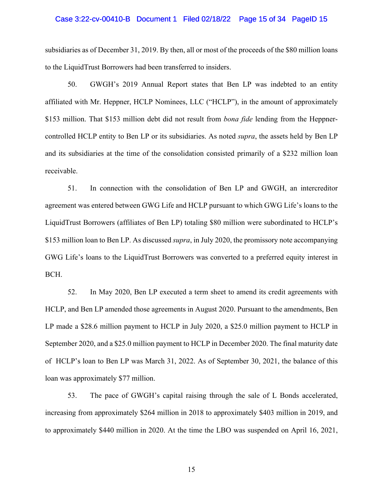## Case 3:22-cv-00410-B Document 1 Filed 02/18/22 Page 15 of 34 PageID 15

subsidiaries as of December 31, 2019. By then, all or most of the proceeds of the \$80 million loans to the LiquidTrust Borrowers had been transferred to insiders.

50. GWGH's 2019 Annual Report states that Ben LP was indebted to an entity affiliated with Mr. Heppner, HCLP Nominees, LLC ("HCLP"), in the amount of approximately \$153 million. That \$153 million debt did not result from *bona fide* lending from the Heppnercontrolled HCLP entity to Ben LP or its subsidiaries. As noted *supra*, the assets held by Ben LP and its subsidiaries at the time of the consolidation consisted primarily of a \$232 million loan receivable.

51. In connection with the consolidation of Ben LP and GWGH, an intercreditor agreement was entered between GWG Life and HCLP pursuant to which GWG Life's loans to the LiquidTrust Borrowers (affiliates of Ben LP) totaling \$80 million were subordinated to HCLP's \$153 million loan to Ben LP. As discussed *supra*, in July 2020, the promissory note accompanying GWG Life's loans to the LiquidTrust Borrowers was converted to a preferred equity interest in BCH.

52. In May 2020, Ben LP executed a term sheet to amend its credit agreements with HCLP, and Ben LP amended those agreements in August 2020. Pursuant to the amendments, Ben LP made a \$28.6 million payment to HCLP in July 2020, a \$25.0 million payment to HCLP in September 2020, and a \$25.0 million payment to HCLP in December 2020. The final maturity date of HCLP's loan to Ben LP was March 31, 2022. As of September 30, 2021, the balance of this loan was approximately \$77 million.

53. The pace of GWGH's capital raising through the sale of L Bonds accelerated, increasing from approximately \$264 million in 2018 to approximately \$403 million in 2019, and to approximately \$440 million in 2020. At the time the LBO was suspended on April 16, 2021,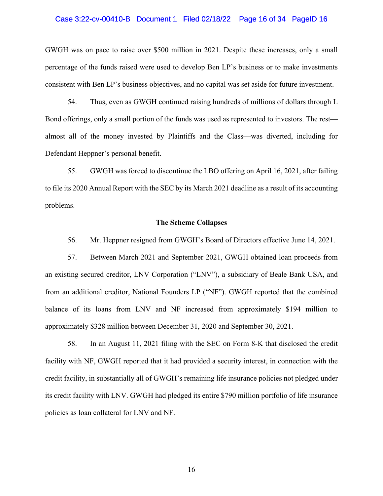## Case 3:22-cv-00410-B Document 1 Filed 02/18/22 Page 16 of 34 PageID 16

GWGH was on pace to raise over \$500 million in 2021. Despite these increases, only a small percentage of the funds raised were used to develop Ben LP's business or to make investments consistent with Ben LP's business objectives, and no capital was set aside for future investment.

54. Thus, even as GWGH continued raising hundreds of millions of dollars through L Bond offerings, only a small portion of the funds was used as represented to investors. The rest almost all of the money invested by Plaintiffs and the Class—was diverted, including for Defendant Heppner's personal benefit.

55. GWGH was forced to discontinue the LBO offering on April 16, 2021, after failing to file its 2020 Annual Report with the SEC by its March 2021 deadline as a result of its accounting problems.

#### **The Scheme Collapses**

56. Mr. Heppner resigned from GWGH's Board of Directors effective June 14, 2021.

57. Between March 2021 and September 2021, GWGH obtained loan proceeds from an existing secured creditor, LNV Corporation ("LNV"), a subsidiary of Beale Bank USA, and from an additional creditor, National Founders LP ("NF"). GWGH reported that the combined balance of its loans from LNV and NF increased from approximately \$194 million to approximately \$328 million between December 31, 2020 and September 30, 2021.

58. In an August 11, 2021 filing with the SEC on Form 8-K that disclosed the credit facility with NF, GWGH reported that it had provided a security interest, in connection with the credit facility, in substantially all of GWGH's remaining life insurance policies not pledged under its credit facility with LNV. GWGH had pledged its entire \$790 million portfolio of life insurance policies as loan collateral for LNV and NF.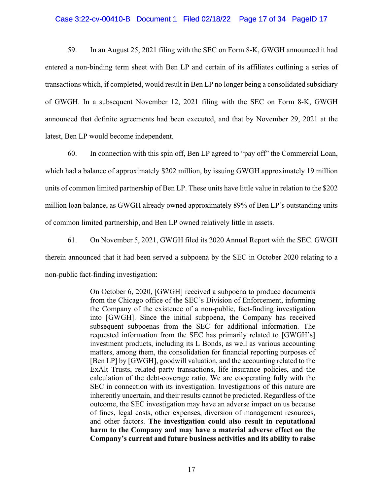## Case 3:22-cv-00410-B Document 1 Filed 02/18/22 Page 17 of 34 PageID 17

59. In an August 25, 2021 filing with the SEC on Form 8-K, GWGH announced it had entered a non-binding term sheet with Ben LP and certain of its affiliates outlining a series of transactions which, if completed, would result in Ben LP no longer being a consolidated subsidiary of GWGH. In a subsequent November 12, 2021 filing with the SEC on Form 8-K, GWGH announced that definite agreements had been executed, and that by November 29, 2021 at the latest, Ben LP would become independent.

60. In connection with this spin off, Ben LP agreed to "pay off" the Commercial Loan, which had a balance of approximately \$202 million, by issuing GWGH approximately 19 million units of common limited partnership of Ben LP. These units have little value in relation to the \$202 million loan balance, as GWGH already owned approximately 89% of Ben LP's outstanding units of common limited partnership, and Ben LP owned relatively little in assets.

61. On November 5, 2021, GWGH filed its 2020 Annual Report with the SEC. GWGH therein announced that it had been served a subpoena by the SEC in October 2020 relating to a non-public fact-finding investigation:

> On October 6, 2020, [GWGH] received a subpoena to produce documents from the Chicago office of the SEC's Division of Enforcement, informing the Company of the existence of a non-public, fact-finding investigation into [GWGH]. Since the initial subpoena, the Company has received subsequent subpoenas from the SEC for additional information. The requested information from the SEC has primarily related to [GWGH's] investment products, including its L Bonds, as well as various accounting matters, among them, the consolidation for financial reporting purposes of [Ben LP] by [GWGH], goodwill valuation, and the accounting related to the ExAlt Trusts, related party transactions, life insurance policies, and the calculation of the debt-coverage ratio. We are cooperating fully with the SEC in connection with its investigation. Investigations of this nature are inherently uncertain, and their results cannot be predicted. Regardless of the outcome, the SEC investigation may have an adverse impact on us because of fines, legal costs, other expenses, diversion of management resources, and other factors. **The investigation could also result in reputational harm to the Company and may have a material adverse effect on the Company's current and future business activities and its ability to raise**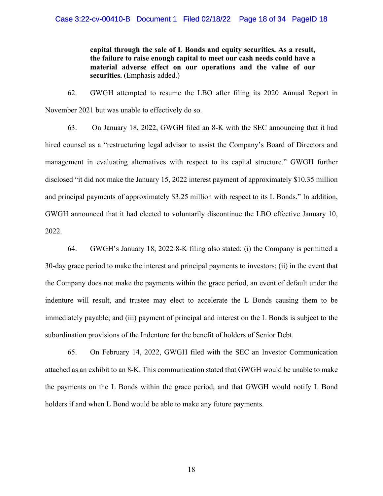**capital through the sale of L Bonds and equity securities. As a result, the failure to raise enough capital to meet our cash needs could have a material adverse effect on our operations and the value of our securities.** (Emphasis added.)

62. GWGH attempted to resume the LBO after filing its 2020 Annual Report in November 2021 but was unable to effectively do so.

63. On January 18, 2022, GWGH filed an 8-K with the SEC announcing that it had hired counsel as a "restructuring legal advisor to assist the Company's Board of Directors and management in evaluating alternatives with respect to its capital structure." GWGH further disclosed "it did not make the January 15, 2022 interest payment of approximately \$10.35 million and principal payments of approximately \$3.25 million with respect to its L Bonds." In addition, GWGH announced that it had elected to voluntarily discontinue the LBO effective January 10, 2022.

64. GWGH's January 18, 2022 8-K filing also stated: (i) the Company is permitted a 30-day grace period to make the interest and principal payments to investors; (ii) in the event that the Company does not make the payments within the grace period, an event of default under the indenture will result, and trustee may elect to accelerate the L Bonds causing them to be immediately payable; and (iii) payment of principal and interest on the L Bonds is subject to the subordination provisions of the Indenture for the benefit of holders of Senior Debt.

65. On February 14, 2022, GWGH filed with the SEC an Investor Communication attached as an exhibit to an 8-K. This communication stated that GWGH would be unable to make the payments on the L Bonds within the grace period, and that GWGH would notify L Bond holders if and when L Bond would be able to make any future payments.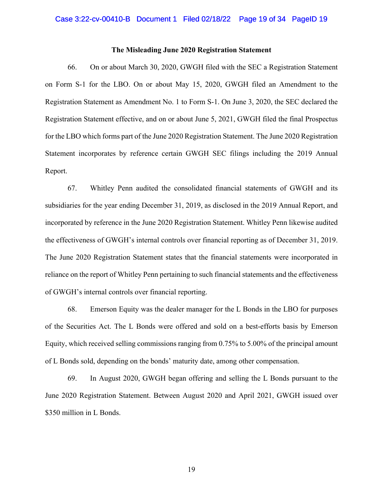## Case 3:22-cv-00410-B Document 1 Filed 02/18/22 Page 19 of 34 PageID 19

#### **The Misleading June 2020 Registration Statement**

66. On or about March 30, 2020, GWGH filed with the SEC a Registration Statement on Form S-1 for the LBO. On or about May 15, 2020, GWGH filed an Amendment to the Registration Statement as Amendment No. 1 to Form S-1. On June 3, 2020, the SEC declared the Registration Statement effective, and on or about June 5, 2021, GWGH filed the final Prospectus for the LBO which forms part of the June 2020 Registration Statement. The June 2020 Registration Statement incorporates by reference certain GWGH SEC filings including the 2019 Annual Report.

67. Whitley Penn audited the consolidated financial statements of GWGH and its subsidiaries for the year ending December 31, 2019, as disclosed in the 2019 Annual Report, and incorporated by reference in the June 2020 Registration Statement. Whitley Penn likewise audited the effectiveness of GWGH's internal controls over financial reporting as of December 31, 2019. The June 2020 Registration Statement states that the financial statements were incorporated in reliance on the report of Whitley Penn pertaining to such financial statements and the effectiveness of GWGH's internal controls over financial reporting.

68. Emerson Equity was the dealer manager for the L Bonds in the LBO for purposes of the Securities Act. The L Bonds were offered and sold on a best-efforts basis by Emerson Equity, which received selling commissions ranging from 0.75% to 5.00% of the principal amount of L Bonds sold, depending on the bonds' maturity date, among other compensation.

69. In August 2020, GWGH began offering and selling the L Bonds pursuant to the June 2020 Registration Statement. Between August 2020 and April 2021, GWGH issued over \$350 million in L Bonds.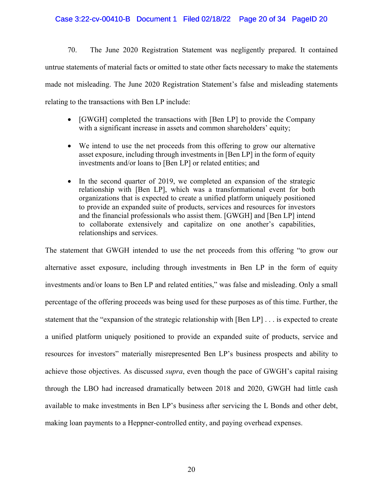70. The June 2020 Registration Statement was negligently prepared. It contained untrue statements of material facts or omitted to state other facts necessary to make the statements made not misleading. The June 2020 Registration Statement's false and misleading statements relating to the transactions with Ben LP include:

- [GWGH] completed the transactions with [Ben LP] to provide the Company with a significant increase in assets and common shareholders' equity;
- We intend to use the net proceeds from this offering to grow our alternative asset exposure, including through investments in [Ben LP] in the form of equity investments and/or loans to [Ben LP] or related entities; and
- In the second quarter of 2019, we completed an expansion of the strategic relationship with [Ben LP], which was a transformational event for both organizations that is expected to create a unified platform uniquely positioned to provide an expanded suite of products, services and resources for investors and the financial professionals who assist them. [GWGH] and [Ben LP] intend to collaborate extensively and capitalize on one another's capabilities, relationships and services.

The statement that GWGH intended to use the net proceeds from this offering "to grow our alternative asset exposure, including through investments in Ben LP in the form of equity investments and/or loans to Ben LP and related entities," was false and misleading. Only a small percentage of the offering proceeds was being used for these purposes as of this time. Further, the statement that the "expansion of the strategic relationship with [Ben LP] . . . is expected to create a unified platform uniquely positioned to provide an expanded suite of products, service and resources for investors" materially misrepresented Ben LP's business prospects and ability to achieve those objectives. As discussed *supra*, even though the pace of GWGH's capital raising through the LBO had increased dramatically between 2018 and 2020, GWGH had little cash available to make investments in Ben LP's business after servicing the L Bonds and other debt, making loan payments to a Heppner-controlled entity, and paying overhead expenses.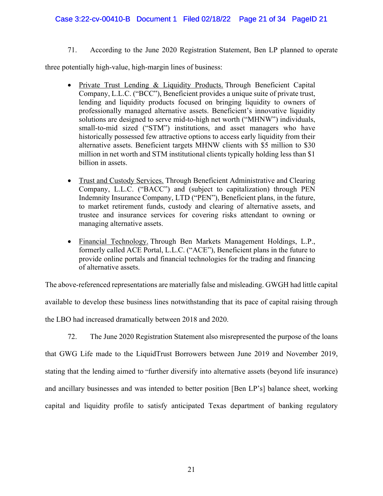71. According to the June 2020 Registration Statement, Ben LP planned to operate

three potentially high-value, high-margin lines of business:

- Private Trust Lending & Liquidity Products. Through Beneficient Capital Company, L.L.C. ("BCC"), Beneficient provides a unique suite of private trust, lending and liquidity products focused on bringing liquidity to owners of professionally managed alternative assets. Beneficient's innovative liquidity solutions are designed to serve mid-to-high net worth ("MHNW") individuals, small-to-mid sized ("STM") institutions, and asset managers who have historically possessed few attractive options to access early liquidity from their alternative assets. Beneficient targets MHNW clients with \$5 million to \$30 million in net worth and STM institutional clients typically holding less than \$1 billion in assets.
- Trust and Custody Services. Through Beneficient Administrative and Clearing Company, L.L.C. ("BACC") and (subject to capitalization) through PEN Indemnity Insurance Company, LTD ("PEN"), Beneficient plans, in the future, to market retirement funds, custody and clearing of alternative assets, and trustee and insurance services for covering risks attendant to owning or managing alternative assets.
- Financial Technology. Through Ben Markets Management Holdings, L.P., formerly called ACE Portal, L.L.C. ("ACE"), Beneficient plans in the future to provide online portals and financial technologies for the trading and financing of alternative assets.

The above-referenced representations are materially false and misleading. GWGH had little capital available to develop these business lines notwithstanding that its pace of capital raising through the LBO had increased dramatically between 2018 and 2020.

72. The June 2020 Registration Statement also misrepresented the purpose of the loans that GWG Life made to the LiquidTrust Borrowers between June 2019 and November 2019, stating that the lending aimed to "further diversify into alternative assets (beyond life insurance) and ancillary businesses and was intended to better position [Ben LP's] balance sheet, working capital and liquidity profile to satisfy anticipated Texas department of banking regulatory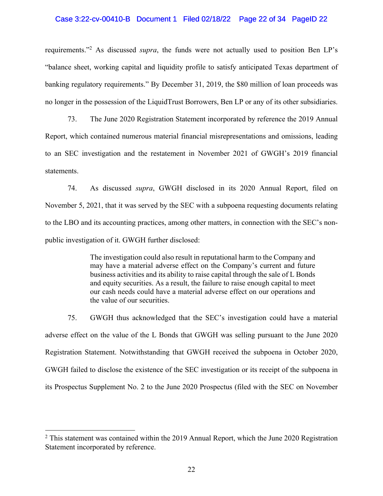## Case 3:22-cv-00410-B Document 1 Filed 02/18/22 Page 22 of 34 PageID 22

requirements."2 As discussed *supra*, the funds were not actually used to position Ben LP's "balance sheet, working capital and liquidity profile to satisfy anticipated Texas department of banking regulatory requirements." By December 31, 2019, the \$80 million of loan proceeds was no longer in the possession of the LiquidTrust Borrowers, Ben LP or any of its other subsidiaries.

73. The June 2020 Registration Statement incorporated by reference the 2019 Annual Report, which contained numerous material financial misrepresentations and omissions, leading to an SEC investigation and the restatement in November 2021 of GWGH's 2019 financial statements.

74. As discussed *supra*, GWGH disclosed in its 2020 Annual Report, filed on November 5, 2021, that it was served by the SEC with a subpoena requesting documents relating to the LBO and its accounting practices, among other matters, in connection with the SEC's nonpublic investigation of it. GWGH further disclosed:

> The investigation could also result in reputational harm to the Company and may have a material adverse effect on the Company's current and future business activities and its ability to raise capital through the sale of L Bonds and equity securities. As a result, the failure to raise enough capital to meet our cash needs could have a material adverse effect on our operations and the value of our securities.

75. GWGH thus acknowledged that the SEC's investigation could have a material adverse effect on the value of the L Bonds that GWGH was selling pursuant to the June 2020 Registration Statement. Notwithstanding that GWGH received the subpoena in October 2020, GWGH failed to disclose the existence of the SEC investigation or its receipt of the subpoena in its Prospectus Supplement No. 2 to the June 2020 Prospectus (filed with the SEC on November

 $2$  This statement was contained within the 2019 Annual Report, which the June 2020 Registration Statement incorporated by reference.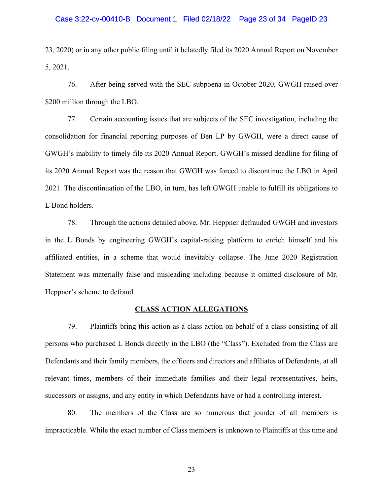## Case 3:22-cv-00410-B Document 1 Filed 02/18/22 Page 23 of 34 PageID 23

23, 2020) or in any other public filing until it belatedly filed its 2020 Annual Report on November 5, 2021.

76. After being served with the SEC subpoena in October 2020, GWGH raised over \$200 million through the LBO.

77. Certain accounting issues that are subjects of the SEC investigation, including the consolidation for financial reporting purposes of Ben LP by GWGH, were a direct cause of GWGH's inability to timely file its 2020 Annual Report. GWGH's missed deadline for filing of its 2020 Annual Report was the reason that GWGH was forced to discontinue the LBO in April 2021. The discontinuation of the LBO, in turn, has left GWGH unable to fulfill its obligations to L Bond holders.

78. Through the actions detailed above, Mr. Heppner defrauded GWGH and investors in the L Bonds by engineering GWGH's capital-raising platform to enrich himself and his affiliated entities, in a scheme that would inevitably collapse. The June 2020 Registration Statement was materially false and misleading including because it omitted disclosure of Mr. Heppner's scheme to defraud.

#### **CLASS ACTION ALLEGATIONS**

79. Plaintiffs bring this action as a class action on behalf of a class consisting of all persons who purchased L Bonds directly in the LBO (the "Class"). Excluded from the Class are Defendants and their family members, the officers and directors and affiliates of Defendants, at all relevant times, members of their immediate families and their legal representatives, heirs, successors or assigns, and any entity in which Defendants have or had a controlling interest.

80. The members of the Class are so numerous that joinder of all members is impracticable. While the exact number of Class members is unknown to Plaintiffs at this time and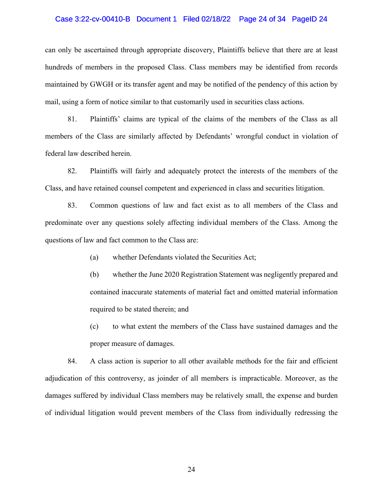## Case 3:22-cv-00410-B Document 1 Filed 02/18/22 Page 24 of 34 PageID 24

can only be ascertained through appropriate discovery, Plaintiffs believe that there are at least hundreds of members in the proposed Class. Class members may be identified from records maintained by GWGH or its transfer agent and may be notified of the pendency of this action by mail, using a form of notice similar to that customarily used in securities class actions.

81. Plaintiffs' claims are typical of the claims of the members of the Class as all members of the Class are similarly affected by Defendants' wrongful conduct in violation of federal law described herein.

82. Plaintiffs will fairly and adequately protect the interests of the members of the Class, and have retained counsel competent and experienced in class and securities litigation.

83. Common questions of law and fact exist as to all members of the Class and predominate over any questions solely affecting individual members of the Class. Among the questions of law and fact common to the Class are:

- (a) whether Defendants violated the Securities Act;
- (b) whether the June 2020 Registration Statement was negligently prepared and contained inaccurate statements of material fact and omitted material information required to be stated therein; and
- (c) to what extent the members of the Class have sustained damages and the proper measure of damages.

84. A class action is superior to all other available methods for the fair and efficient adjudication of this controversy, as joinder of all members is impracticable. Moreover, as the damages suffered by individual Class members may be relatively small, the expense and burden of individual litigation would prevent members of the Class from individually redressing the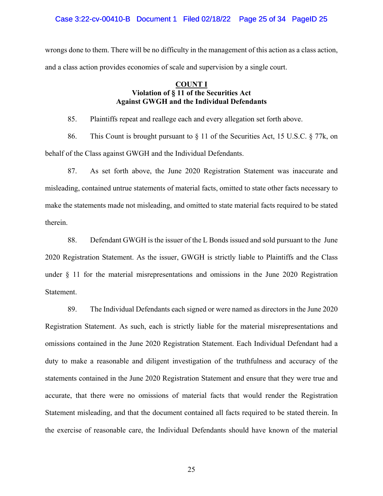wrongs done to them. There will be no difficulty in the management of this action as a class action, and a class action provides economies of scale and supervision by a single court.

## **COUNT I Violation of § 11 of the Securities Act Against GWGH and the Individual Defendants**

85. Plaintiffs repeat and reallege each and every allegation set forth above.

86. This Count is brought pursuant to § 11 of the Securities Act, 15 U.S.C. § 77k, on behalf of the Class against GWGH and the Individual Defendants.

87. As set forth above, the June 2020 Registration Statement was inaccurate and misleading, contained untrue statements of material facts, omitted to state other facts necessary to make the statements made not misleading, and omitted to state material facts required to be stated therein.

88. Defendant GWGH is the issuer of the L Bonds issued and sold pursuant to the June 2020 Registration Statement. As the issuer, GWGH is strictly liable to Plaintiffs and the Class under § 11 for the material misrepresentations and omissions in the June 2020 Registration Statement.

89. The Individual Defendants each signed or were named as directors in the June 2020 Registration Statement. As such, each is strictly liable for the material misrepresentations and omissions contained in the June 2020 Registration Statement. Each Individual Defendant had a duty to make a reasonable and diligent investigation of the truthfulness and accuracy of the statements contained in the June 2020 Registration Statement and ensure that they were true and accurate, that there were no omissions of material facts that would render the Registration Statement misleading, and that the document contained all facts required to be stated therein. In the exercise of reasonable care, the Individual Defendants should have known of the material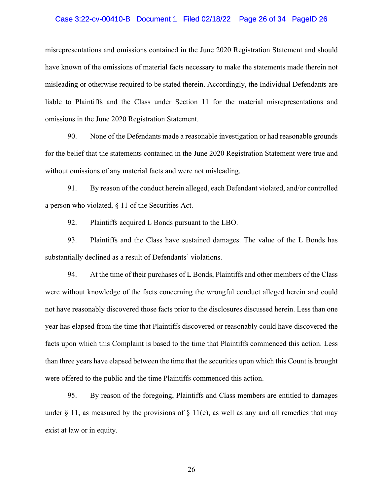## Case 3:22-cv-00410-B Document 1 Filed 02/18/22 Page 26 of 34 PageID 26

misrepresentations and omissions contained in the June 2020 Registration Statement and should have known of the omissions of material facts necessary to make the statements made therein not misleading or otherwise required to be stated therein. Accordingly, the Individual Defendants are liable to Plaintiffs and the Class under Section 11 for the material misrepresentations and omissions in the June 2020 Registration Statement.

90. None of the Defendants made a reasonable investigation or had reasonable grounds for the belief that the statements contained in the June 2020 Registration Statement were true and without omissions of any material facts and were not misleading.

91. By reason of the conduct herein alleged, each Defendant violated, and/or controlled a person who violated, § 11 of the Securities Act.

92. Plaintiffs acquired L Bonds pursuant to the LBO.

93. Plaintiffs and the Class have sustained damages. The value of the L Bonds has substantially declined as a result of Defendants' violations.

94. At the time of their purchases of L Bonds, Plaintiffs and other members of the Class were without knowledge of the facts concerning the wrongful conduct alleged herein and could not have reasonably discovered those facts prior to the disclosures discussed herein. Less than one year has elapsed from the time that Plaintiffs discovered or reasonably could have discovered the facts upon which this Complaint is based to the time that Plaintiffs commenced this action. Less than three years have elapsed between the time that the securities upon which this Count is brought were offered to the public and the time Plaintiffs commenced this action.

95. By reason of the foregoing, Plaintiffs and Class members are entitled to damages under § 11, as measured by the provisions of § 11(e), as well as any and all remedies that may exist at law or in equity.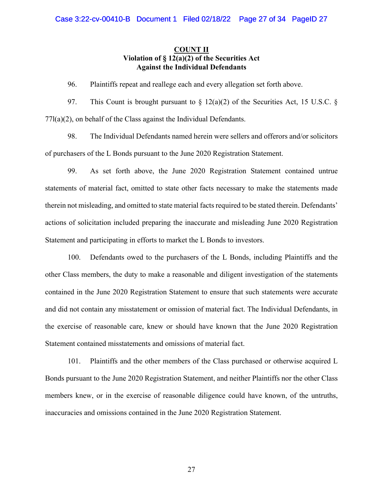## **COUNT II Violation of § 12(a)(2) of the Securities Act Against the Individual Defendants**

96. Plaintiffs repeat and reallege each and every allegation set forth above.

97. This Count is brought pursuant to  $\S$  12(a)(2) of the Securities Act, 15 U.S.C.  $\S$ 77l(a)(2), on behalf of the Class against the Individual Defendants.

98. The Individual Defendants named herein were sellers and offerors and/or solicitors of purchasers of the L Bonds pursuant to the June 2020 Registration Statement.

99. As set forth above, the June 2020 Registration Statement contained untrue statements of material fact, omitted to state other facts necessary to make the statements made therein not misleading, and omitted to state material facts required to be stated therein. Defendants' actions of solicitation included preparing the inaccurate and misleading June 2020 Registration Statement and participating in efforts to market the L Bonds to investors.

100. Defendants owed to the purchasers of the L Bonds, including Plaintiffs and the other Class members, the duty to make a reasonable and diligent investigation of the statements contained in the June 2020 Registration Statement to ensure that such statements were accurate and did not contain any misstatement or omission of material fact. The Individual Defendants, in the exercise of reasonable care, knew or should have known that the June 2020 Registration Statement contained misstatements and omissions of material fact.

101. Plaintiffs and the other members of the Class purchased or otherwise acquired L Bonds pursuant to the June 2020 Registration Statement, and neither Plaintiffs nor the other Class members knew, or in the exercise of reasonable diligence could have known, of the untruths, inaccuracies and omissions contained in the June 2020 Registration Statement.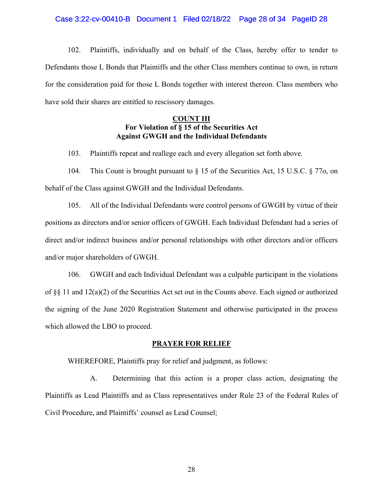### Case 3:22-cv-00410-B Document 1 Filed 02/18/22 Page 28 of 34 PageID 28

102. Plaintiffs, individually and on behalf of the Class, hereby offer to tender to Defendants those L Bonds that Plaintiffs and the other Class members continue to own, in return for the consideration paid for those L Bonds together with interest thereon. Class members who have sold their shares are entitled to rescissory damages.

## **COUNT III For Violation of § 15 of the Securities Act Against GWGH and the Individual Defendants**

103. Plaintiffs repeat and reallege each and every allegation set forth above.

104. This Count is brought pursuant to § 15 of the Securities Act, 15 U.S.C. § 77o, on behalf of the Class against GWGH and the Individual Defendants.

105. All of the Individual Defendants were control persons of GWGH by virtue of their positions as directors and/or senior officers of GWGH. Each Individual Defendant had a series of direct and/or indirect business and/or personal relationships with other directors and/or officers and/or major shareholders of GWGH.

106. GWGH and each Individual Defendant was a culpable participant in the violations of  $\S$ [§ 11 and 12(a)(2) of the Securities Act set out in the Counts above. Each signed or authorized the signing of the June 2020 Registration Statement and otherwise participated in the process which allowed the LBO to proceed.

#### **PRAYER FOR RELIEF**

WHEREFORE, Plaintiffs pray for relief and judgment, as follows:

A. Determining that this action is a proper class action, designating the Plaintiffs as Lead Plaintiffs and as Class representatives under Rule 23 of the Federal Rules of Civil Procedure, and Plaintiffs' counsel as Lead Counsel;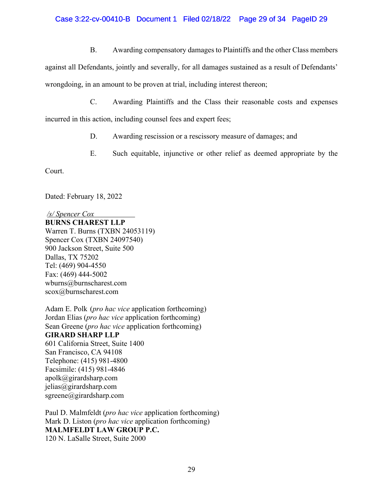## Case 3:22-cv-00410-B Document 1 Filed 02/18/22 Page 29 of 34 PageID 29

B. Awarding compensatory damages to Plaintiffs and the other Class members

against all Defendants, jointly and severally, for all damages sustained as a result of Defendants' wrongdoing, in an amount to be proven at trial, including interest thereon;

C. Awarding Plaintiffs and the Class their reasonable costs and expenses

incurred in this action, including counsel fees and expert fees;

- D. Awarding rescission or a rescissory measure of damages; and
- E. Such equitable, injunctive or other relief as deemed appropriate by the

Court.

Dated: February 18, 2022

*/s/ Spencer Cox* **BURNS CHAREST LLP** Warren T. Burns (TXBN 24053119) Spencer Cox (TXBN 24097540) 900 Jackson Street, Suite 500 Dallas, TX 75202 Tel: (469) 904-4550 Fax: (469) 444-5002 wburns@burnscharest.com scox@burnscharest.com

Adam E. Polk (*pro hac vice* application forthcoming) Jordan Elias (*pro hac vice* application forthcoming) Sean Greene (*pro hac vice* application forthcoming) **GIRARD SHARP LLP** 601 California Street, Suite 1400 San Francisco, CA 94108 Telephone: (415) 981-4800 Facsimile: (415) 981-4846 apolk@girardsharp.com jelias@girardsharp.com sgreene@girardsharp.com

Paul D. Malmfeldt (*pro hac vice* application forthcoming) Mark D. Liston (*pro hac vice* application forthcoming) **MALMFELDT LAW GROUP P.C.** 120 N. LaSalle Street, Suite 2000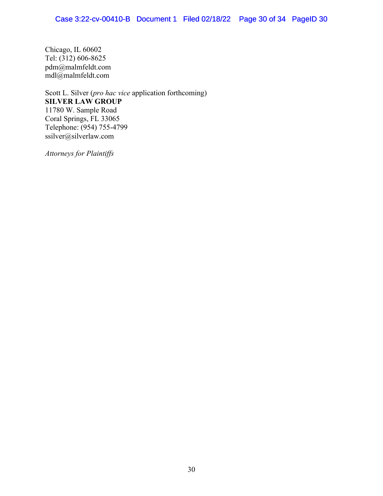Chicago, IL 60602 Tel: (312) 606-8625 pdm@malmfeldt.com mdl@malmfeldt.com

Scott L. Silver (*pro hac vice* application forthcoming) **SILVER LAW GROUP**  11780 W. Sample Road Coral Springs, FL 33065 Telephone: (954) 755-4799 ssilver@silverlaw.com

*Attorneys for Plaintiffs*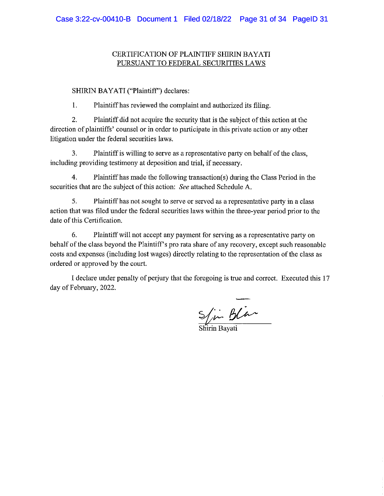## CERTIFICATION OF PLAINTIFF SHIRIN BAYATI PURSUANT TO FEDERAL SECURITIES LAWS

## SHIRIN BAYATI ("Plaintiff") declares:

1. Plaintiff has reviewed the complaint and authorized its filing.

 $\overline{2}$ . Plaintiff did not acquire the security that is the subject of this action at the direction of plaintiffs' counsel or in order to participate in this private action or any other litigation under the federal securities laws.

 $3.$ Plaintiff is willing to serve as a representative party on behalf of the class, including providing testimony at deposition and trial, if necessary.

 $\overline{4}$ . Plaintiff has made the following transaction(s) during the Class Period in the securities that are the subject of this action: See attached Schedule A.

5. Plaintiff has not sought to serve or served as a representative party in a class action that was filed under the federal securities laws within the three-year period prior to the date of this Certification.

Plaintiff will not accept any payment for serving as a representative party on 6. behalf of the class beyond the Plaintiff's pro rata share of any recovery, except such reasonable costs and expenses (including lost wages) directly relating to the representation of the class as ordered or approved by the court.

I declare under penalty of perjury that the foregoing is true and correct. Executed this 17 day of February, 2022.

S/ m Blanch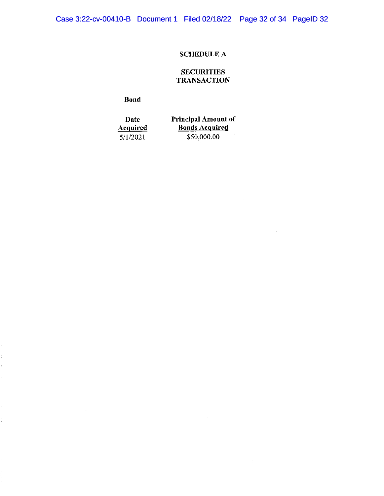# **SCHEDULE A**

## **SECURITIES TRANSACTION**

**Bond** 

Date Acquired  $5/1/2021$ 

**Principal Amount of Bonds Acquired**  $$50,000.00$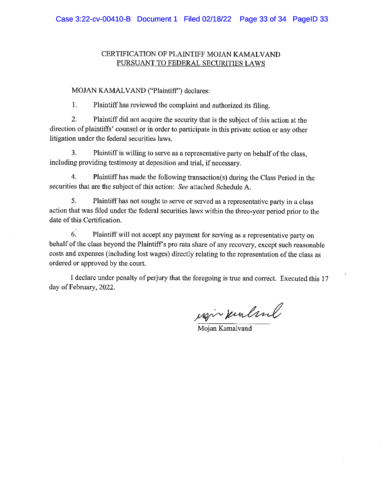## CERTIFICATION OF PLAINTIFF MOJAN KAMALVAND PURSUANT TO FEDERAL SECURITIES LAWS

## MOJAN KAMALVAND ("Plaintiff") declares:

 $1<sub>1</sub>$ Plaintiff has reviewed the complaint and authorized its filing.

 $\overline{2}$ . Plaintiff did not acquire the security that is the subject of this action at the direction of plaintiffs' counsel or in order to participate in this private action or any other litigation under the federal securities laws.

Plaintiff is willing to serve as a representative party on behalf of the class, 3. including providing testimony at deposition and trial, if necessary.

 $\overline{4}$ . Plaintiff has made the following transaction(s) during the Class Period in the securities that are the subject of this action: See attached Schedule A.

Plaintiff has not sought to serve or served as a representative party in a class 5. action that was filed under the federal securities laws within the three-year period prior to the date of this Certification.

 $\overrightarrow{6}$ Plaintiff will not accept any payment for serving as a representative party on behalf of the class beyond the Plaintiff's pro rata share of any recovery, except such reasonable costs and expenses (including lost wages) directly relating to the representation of the class as ordered or approved by the court.

I declare under penalty of perjury that the foregoing is true and correct. Executed this 17 day of February, 2022.

Nojan Karnelsonl